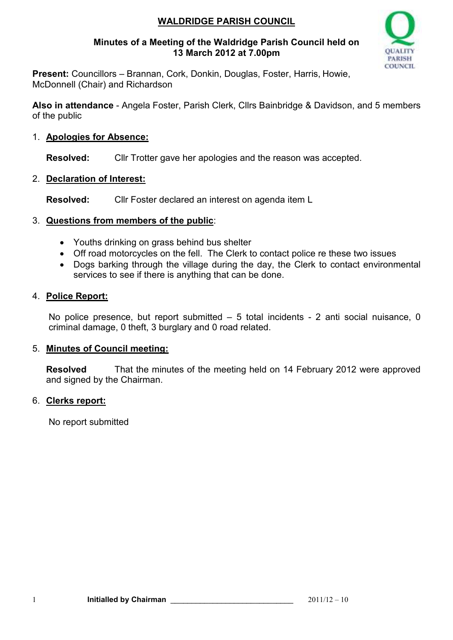# **WALDRIDGE PARISH COUNCIL**

### **Minutes of a Meeting of the Waldridge Parish Council held on 13 March 2012 at 7.00pm**



**Present:** Councillors – Brannan, Cork, Donkin, Douglas, Foster, Harris, Howie, McDonnell (Chair) and Richardson

**Also in attendance** - Angela Foster, Parish Clerk, Cllrs Bainbridge & Davidson, and 5 members of the public

## 1. **Apologies for Absence:**

**Resolved:** Cllr Trotter gave her apologies and the reason was accepted.

### 2. **Declaration of Interest:**

**Resolved:** Cllr Foster declared an interest on agenda item L

### 3. **Questions from members of the public**:

- Youths drinking on grass behind bus shelter
- Off road motorcycles on the fell. The Clerk to contact police re these two issues
- Dogs barking through the village during the day, the Clerk to contact environmental services to see if there is anything that can be done.

### 4. **Police Report:**

No police presence, but report submitted – 5 total incidents - 2 anti social nuisance, 0 criminal damage, 0 theft, 3 burglary and 0 road related.

#### 5. **Minutes of Council meeting:**

**Resolved** That the minutes of the meeting held on 14 February 2012 were approved and signed by the Chairman.

## 6. **Clerks report:**

No report submitted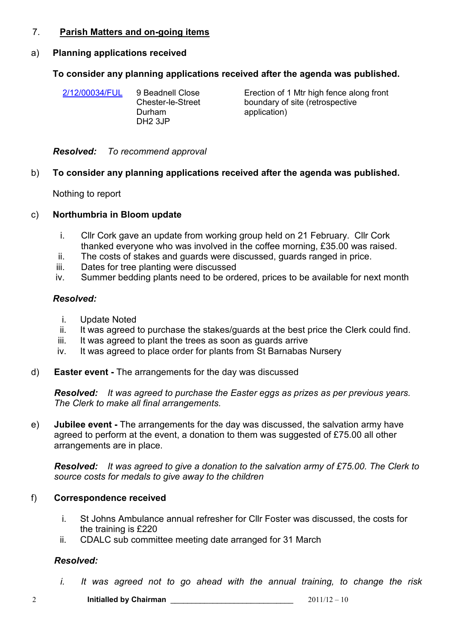### 7. **Parish Matters and on-going items**

# a) **Planning applications received**

# **To consider any planning applications received after the agenda was published.**

| 2/12/00034/FUL | 9 Beadnell Close  |
|----------------|-------------------|
|                | Chester-le-Street |
|                | Durham            |
|                | <b>DH2 3JP</b>    |
|                |                   |

Erection of 1 Mtr high fence along front boundary of site (retrospective application)

*Resolved: To recommend approval*

# b) **To consider any planning applications received after the agenda was published.**

Nothing to report

# c) **Northumbria in Bloom update**

- i. Cllr Cork gave an update from working group held on 21 February. Cllr Cork thanked everyone who was involved in the coffee morning, £35.00 was raised.
- ii. The costs of stakes and guards were discussed, guards ranged in price.
- iii. Dates for tree planting were discussed
- iv. Summer bedding plants need to be ordered, prices to be available for next month

# *Resolved:*

- i. Update Noted
- ii. It was agreed to purchase the stakes/guards at the best price the Clerk could find.
- iii. It was agreed to plant the trees as soon as quards arrive
- iv. It was agreed to place order for plants from St Barnabas Nursery
- d) **Easter event** The arrangements for the day was discussed

*Resolved: It was agreed to purchase the Easter eggs as prizes as per previous years. The Clerk to make all final arrangements.*

e) **Jubilee event -** The arrangements for the day was discussed, the salvation army have agreed to perform at the event, a donation to them was suggested of £75.00 all other arrangements are in place.

*Resolved: It was agreed to give a donation to the salvation army of £75.00. The Clerk to source costs for medals to give away to the children*

# f) **Correspondence received**

- i. St Johns Ambulance annual refresher for Cllr Foster was discussed, the costs for the training is £220
- ii. CDALC sub committee meeting date arranged for 31 March

# *Resolved:*

*i. It was agreed not to go ahead with the annual training, to change the risk* 

2 **Initialled by Chairman** \_\_\_\_\_\_\_\_\_\_\_\_\_\_\_\_\_\_\_\_\_\_\_\_\_\_\_\_\_ 2011/12 – 10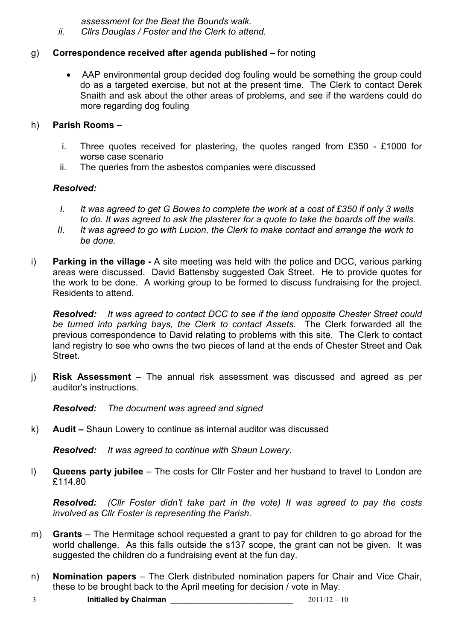*assessment for the Beat the Bounds walk.* 

*ii. Cllrs Douglas / Foster and the Clerk to attend.* 

## g) **Correspondence received after agenda published –** for noting

• AAP environmental group decided dog fouling would be something the group could do as a targeted exercise, but not at the present time. The Clerk to contact Derek Snaith and ask about the other areas of problems, and see if the wardens could do more regarding dog fouling

#### h) **Parish Rooms –**

- i. Three quotes received for plastering, the quotes ranged from £350 £1000 for worse case scenario
- ii. The queries from the asbestos companies were discussed

## *Resolved:*

- *I. It was agreed to get G Bowes to complete the work at a cost of £350 if only 3 walls to do. It was agreed to ask the plasterer for a quote to take the boards off the walls.*
- *II. It was agreed to go with Lucion, the Clerk to make contact and arrange the work to be done.*
- i) **Parking in the village** A site meeting was held with the police and DCC, various parking areas were discussed. David Battensby suggested Oak Street. He to provide quotes for the work to be done. A working group to be formed to discuss fundraising for the project. Residents to attend.

*Resolved: It was agreed to contact DCC to see if the land opposite Chester Street could be turned into parking bays, the Clerk to contact Assets.* The Clerk forwarded all the previous correspondence to David relating to problems with this site. The Clerk to contact land registry to see who owns the two pieces of land at the ends of Chester Street and Oak Street.

j) **Risk Assessment** – The annual risk assessment was discussed and agreed as per auditor's instructions.

*Resolved: The document was agreed and signed*

k) **Audit –** Shaun Lowery to continue as internal auditor was discussed

*Resolved: It was agreed to continue with Shaun Lowery.*

l) **Queens party jubilee** – The costs for Cllr Foster and her husband to travel to London are £114.80

*Resolved: (Cllr Foster didn't take part in the vote) It was agreed to pay the costs involved as Cllr Foster is representing the Parish.* 

- m) **Grants**  The Hermitage school requested a grant to pay for children to go abroad for the world challenge. As this falls outside the s137 scope, the grant can not be given. It was suggested the children do a fundraising event at the fun day.
- n) **Nomination papers**  The Clerk distributed nomination papers for Chair and Vice Chair, these to be brought back to the April meeting for decision / vote in May.